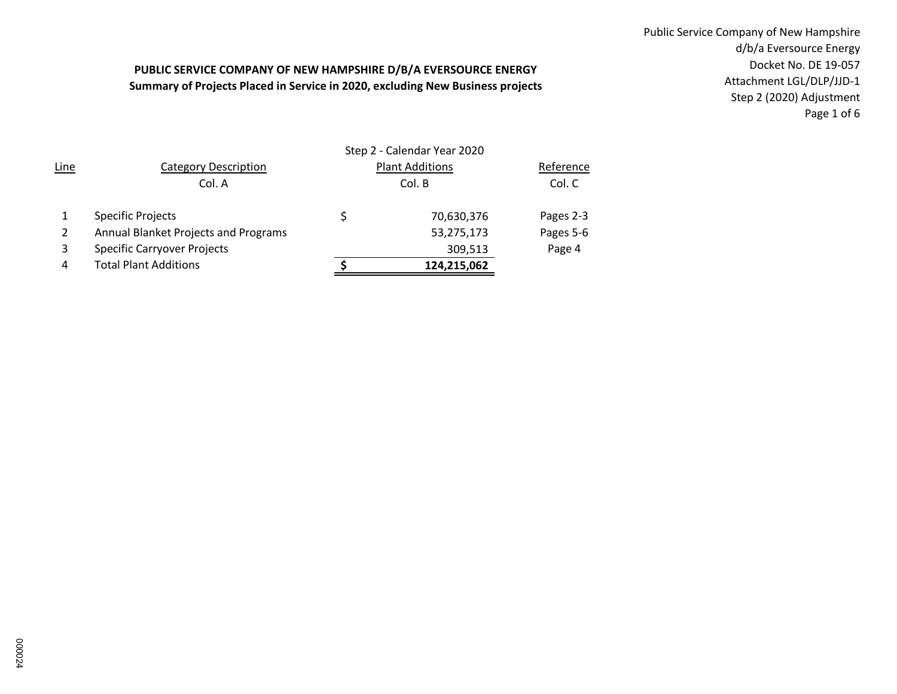## **PUBLIC SERVICE COMPANY OF NEW HAMPSHIRE D/B/A EVERSOURCE ENERGY Summary of Projects Placed in Service in 2020, excluding New Business projects**

Public Service Company of New Hampshire d/b/a Eversource Energy Docket No. DE 19-057 Attachment LGL/DLP/JJD-1 Step 2 (2020) Adjustment Page 1 of 6

| Line | <b>Category Description</b>          |   | <b>Plant Additions</b> | Reference |  |  |
|------|--------------------------------------|---|------------------------|-----------|--|--|
|      | Col. A                               |   | Col. B                 | Col. C    |  |  |
|      | <b>Specific Projects</b>             | Ś | 70,630,376             | Pages 2-3 |  |  |
|      | Annual Blanket Projects and Programs |   | 53,275,173             | Pages 5-6 |  |  |
| 3    | <b>Specific Carryover Projects</b>   |   | 309,513                | Page 4    |  |  |
| 4    | <b>Total Plant Additions</b>         |   | 124,215,062            |           |  |  |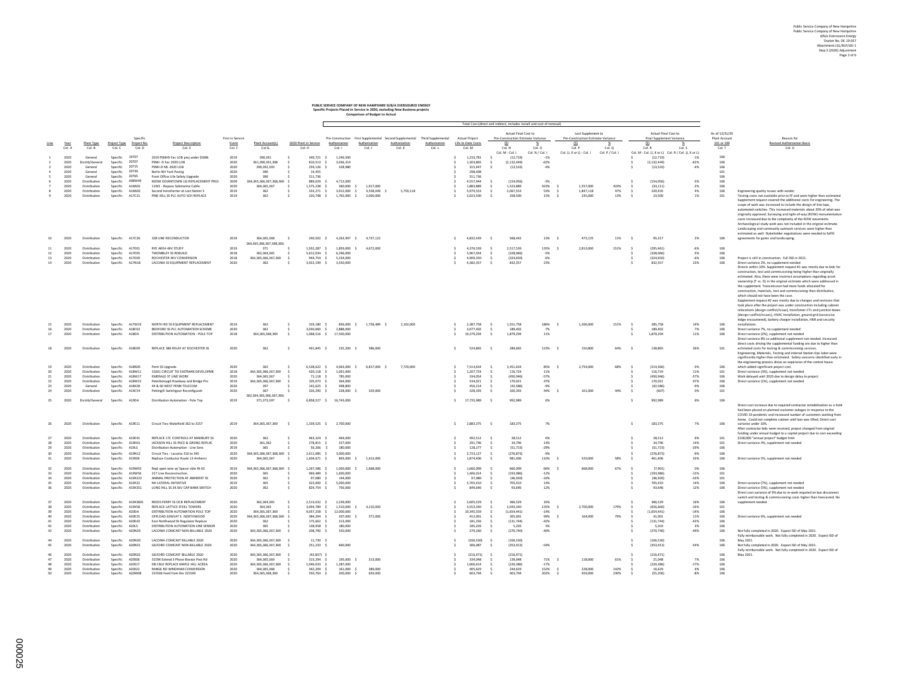## **PUBLIC SERVICE COMPANY OF NEW HAMPSHIRE D/B/A EVERSOURCE ENERGY Specific Projects Placed in Service in 2020, excluding New Business projects Comparison of Budget to Actual**

|  | combersion or public to second |  |
|--|--------------------------------|--|
|  |                                |  |
|  |                                |  |

|                 |              | Total Cost (direct and indirect, includes install and cost of n |                      |                   |                                                                          |                  |                                             |                              |                           |                         |                                                         |                    |        |                      |                          |                                                            |                 |                                                          |                 |        |                                                          |                 |                                 |                                                                                                                                             |
|-----------------|--------------|-----------------------------------------------------------------|----------------------|-------------------|--------------------------------------------------------------------------|------------------|---------------------------------------------|------------------------------|---------------------------|-------------------------|---------------------------------------------------------|--------------------|--------|----------------------|--------------------------|------------------------------------------------------------|-----------------|----------------------------------------------------------|-----------------|--------|----------------------------------------------------------|-----------------|---------------------------------|---------------------------------------------------------------------------------------------------------------------------------------------|
|                 |              |                                                                 |                      | Specific          |                                                                          | First in Service |                                             |                              |                           |                         | Pre-Construction First Supplemental Second Supplemental | Third Supplemental |        | Actual Project       |                          | Actual Final Cost to<br>Pre-Construction Estimate Variance |                 | Last Supplement to<br>Pre-Construction Estimate Variance |                 |        | Actual Final Cost to<br><b>Final Supplement Variance</b> |                 | As of 12/31/20<br>Plant Account | Reason for                                                                                                                                  |
| Line            | Year         | Plant Type                                                      | Project Type         | Project No        | <b>Project Description</b>                                               | Event            | Plant Account(s)                            | 2020 Plant in Service        | Authorization             | Authorization           | Authorization                                           | Authorization      |        | Life to Date Costs   |                          | (S)                                                        |                 | (S)                                                      | -76             |        | (S)                                                      |                 | 101 or 106                      | <b>Revised Authorization Basis</b>                                                                                                          |
|                 | Col. A       | Col. B                                                          | Col. C               | Col. D            | Col. E                                                                   | Col. F           | Col G.                                      | Col. H                       | Col. I                    | Col. J                  | Col. K                                                  | Col. L             |        | Col. M               |                          | Col. N                                                     | Col. O          | Col. P                                                   | Col. Q          |        | Col. R                                                   | Col. S          | Col. T                          | Col. U                                                                                                                                      |
|                 |              |                                                                 |                      |                   |                                                                          |                  |                                             |                              |                           |                         |                                                         |                    |        |                      |                          | Col. M - Col. I                                            | Col. N / Col. I | Col. (J. K or L) - Col. I                                | Col. P / Col. I |        | Col. M - Col. (J. K or L) Col. R / Col. (J. K or L)      |                 |                                 |                                                                                                                                             |
|                 | 2020         | General                                                         | Specific             | 19707             | 2019 PSNHD Fac LOB proj under \$500k                                     | 2019             | 390 391                                     | 340 721                      | 1.246.500                 |                         |                                                         |                    |        | 1 233 781            |                          | (12, 719)                                                  | $-1%$           |                                                          |                 |        | (12.719)                                                 | $-1%$           | 106                             |                                                                                                                                             |
|                 | 2020         | Distrib/General                                                 | Specific             | 20707<br>20715    | PSNH -D Fac 2020 LOB                                                     | 2020             | 361.390.391.398                             | 810.513                      | 3.436.314                 |                         |                                                         |                    |        | 1.303.865            |                          | (2.132.449)                                                | $-62%$          |                                                          |                 |        | (2.132.449)                                              | $-62%$          | 106                             |                                                                                                                                             |
|                 | 2020         | General                                                         | Specific             |                   | PSNH-D ML 2020 LOB                                                       | 2020             | 390.392.393                                 | 259,126                      | 328,980                   |                         |                                                         |                    |        | 315,447              |                          | (13, 533)                                                  | $-4N$           |                                                          |                 |        | (13, 533)                                                | $-4%$           | 106                             |                                                                                                                                             |
|                 | 2020         | General                                                         | Specific             | 20739<br>20765    | Berlin NH Yard Paving                                                    | 2020             | 390                                         | 14,455                       |                           |                         |                                                         |                    |        | 298,408              |                          |                                                            |                 |                                                          |                 |        |                                                          |                 | 101                             |                                                                                                                                             |
|                 | 2020         | General                                                         | Specific             | A08W49            | Front Office Life Safety Upgrade                                         | 2020             | 390                                         | 311.736                      |                           |                         |                                                         |                    |        | 311,736              |                          |                                                            |                 |                                                          |                 |        |                                                          |                 | 106                             |                                                                                                                                             |
|                 | 2020<br>2020 | Distribution<br>Distribution                                    | Specific<br>Specific | A16N01            | KEENE DOWNTOWN UG REPLACEMENT PROJ<br>11W1 - Renace Submarine Cable      | 2009<br>2020     | 364.365.366.367.368.369<br>364 365 367      | 889.029 \$<br>1.575.238 \$   | 4.712.000<br>360,000 \$   | 1917000                 |                                                         |                    |        | 4,557,944<br>1883889 | $\hat{\mathbf{z}}$       | (154.056)<br>1.523.889                                     | $-3%$<br>423% < | 1.557.000                                                | 433%            |        | (154.056)<br>(33111)                                     | $-3%$<br>$-2\%$ | 106<br>106                      |                                                                                                                                             |
|                 | 2020         | Distribution                                                    |                      | A16N02            |                                                                          | 2019             | 362                                         |                              |                           |                         |                                                         |                    |        | 5.979.553            |                          |                                                            |                 |                                                          |                 |        | 220.435                                                  |                 | 106                             |                                                                                                                                             |
|                 | 2020         | Distribution                                                    | Specific<br>Specific | A17C21            | Second transformer at Lost Nation S<br>PINE HILL SS PLC AUTO SCH REPLACE | 2019             | 362                                         | 333,271 \$<br>320,748        | 3,912,000 \$<br>1.765.000 | 4,558,049<br>2,000,000  | 5,759,118                                               |                    |        | 2.023.500            |                          | 2,067,553<br>258,500                                       | 53%<br>15%      | 1,847,118<br>235,000                                     | 47%<br>13%      |        | 23,500                                                   | 4%<br>1%        | 101                             | Engineering quality issues with vendor<br>Testing costs not available prior to FF and were higher than estimated                            |
|                 |              |                                                                 |                      |                   |                                                                          |                  |                                             |                              |                           |                         |                                                         |                    |        |                      |                          |                                                            |                 |                                                          |                 |        |                                                          |                 |                                 | Supplement request covered the additional costs for engineering. The                                                                        |
|                 |              |                                                                 |                      |                   |                                                                          |                  |                                             |                              |                           |                         |                                                         |                    |        |                      |                          |                                                            |                 |                                                          |                 |        |                                                          |                 |                                 | scope of work was increased to include the design of line taps,                                                                             |
|                 |              |                                                                 |                      |                   |                                                                          |                  |                                             |                              |                           |                         |                                                         |                    |        |                      |                          |                                                            |                 |                                                          |                 |        |                                                          |                 |                                 | automated switches. This increased materials about 20% of what was                                                                          |
|                 |              |                                                                 |                      |                   |                                                                          |                  |                                             |                              |                           |                         |                                                         |                    |        |                      |                          |                                                            |                 |                                                          |                 |        |                                                          |                 |                                 | originally approved. Surveying and right-of-way (ROW) monumentation                                                                         |
|                 |              |                                                                 |                      |                   |                                                                          |                  |                                             |                              |                           |                         |                                                         |                    |        |                      |                          |                                                            |                 |                                                          |                 |        |                                                          |                 |                                 | costs increased due to the complexity of the ROW easements.                                                                                 |
|                 |              |                                                                 |                      |                   |                                                                          |                  |                                             |                              |                           |                         |                                                         |                    |        |                      |                          |                                                            |                 |                                                          |                 |        |                                                          |                 |                                 | Archaeological study work was not included in the original esitmate.                                                                        |
|                 |              |                                                                 |                      |                   |                                                                          |                  |                                             |                              |                           |                         |                                                         |                    |        |                      |                          |                                                            |                 |                                                          |                 |        |                                                          |                 |                                 | Landscaping and community outreash services were higher than                                                                                |
|                 |              |                                                                 |                      |                   |                                                                          |                  |                                             |                              |                           |                         |                                                         |                    |        |                      |                          |                                                            |                 |                                                          |                 |        |                                                          |                 |                                 | estimated as well. Stakeholder negotiations were needed to fulfill                                                                          |
|                 | 2020         | Distribution                                                    | Specific             | A17C26            | 328 LINE RECONDUCTOR                                                     | 2019             | 364,365,368                                 | 240.502 \$                   | 4,263,997                 | 4.737.122<br>s.         |                                                         |                    |        | 4,832,439            |                          | 568,442                                                    | 13% \$          | 473,125                                                  | 11%             |        | 95,317                                                   | 2%              | 106                             | agreements for gates and landscaping.                                                                                                       |
|                 |              |                                                                 |                      |                   |                                                                          |                  | 364, 365, 366, 367, 368, 369,               |                              |                           |                         |                                                         |                    |        |                      |                          |                                                            |                 |                                                          |                 |        |                                                          |                 |                                 |                                                                                                                                             |
|                 | 2020         | Distribution                                                    | Specific             | A17E01            | RYE AREA 4KV STUDY                                                       | 2019             | 371                                         | 1,932,287                    | 1,859,000                 | 4,672,000               |                                                         |                    |        | 4,376,539            |                          | 2.517.539                                                  | 135% \$         | 2,813,000                                                | 151%            |        | (295.461)                                                | $-6%$           | 106                             |                                                                                                                                             |
| 12              | 2020         | Distribution                                                    | Specific             | A17E05            | <b>TWOMBLEY SS REBUILD</b>                                               | 2018             | 362.364.365                                 | $5.612.034$ \$               | 6,296,000                 |                         |                                                         |                    |        | 5.967.934            |                          | (328.066)                                                  | $-5%$           |                                                          |                 |        | (328.066)                                                | $-5%$           | 106                             |                                                                                                                                             |
| 13 <sup>1</sup> | 2020         | Distribution                                                    | Specific             | A17E09            | ROCHESTER 4KV CONVERSION                                                 | 2018             | 364.365.366.367.369                         | 944.754 \$                   | 5.234.000                 |                         |                                                         |                    |        | 4.909.350            |                          | (324.650)                                                  | $-6%$           |                                                          |                 |        | (324,650)                                                | $-6%$           | 106                             | Project is still in construction. Full ISD in 2021.                                                                                         |
| 14              | 2020         | Distribution                                                    | Specific             | A17N18            | LACONIA SS EQUIPMENT REPLACEMENT                                         | 2020             | 362                                         | 3.922.199 \$                 | 3.550.000                 |                         |                                                         |                    |        | 4.382.357            |                          | 832,357                                                    | 23%             |                                                          |                 |        | 832.357                                                  | 23%             | 106                             | Direct variance 2%, no supplement needed                                                                                                    |
|                 |              |                                                                 |                      |                   |                                                                          |                  |                                             |                              |                           |                         |                                                         |                    |        |                      |                          |                                                            |                 |                                                          |                 |        |                                                          |                 |                                 | Directs within 10%. Supplement request #1 was mostly due to bids for                                                                        |
|                 |              |                                                                 |                      |                   |                                                                          |                  |                                             |                              |                           |                         |                                                         |                    |        |                      |                          |                                                            |                 |                                                          |                 |        |                                                          |                 |                                 | construction, test and commissioning being higher than originally                                                                           |
|                 |              |                                                                 |                      |                   |                                                                          |                  |                                             |                              |                           |                         |                                                         |                    |        |                      |                          |                                                            |                 |                                                          |                 |        |                                                          |                 |                                 | estimated. Also, there were incorrect assumptions regarding asset                                                                           |
|                 |              |                                                                 |                      |                   |                                                                          |                  |                                             |                              |                           |                         |                                                         |                    |        |                      |                          |                                                            |                 |                                                          |                 |        |                                                          |                 |                                 | ownership (T vs. D) in the original estimate which were addressed in                                                                        |
|                 |              |                                                                 |                      |                   |                                                                          |                  |                                             |                              |                           |                         |                                                         |                    |        |                      |                          |                                                            |                 |                                                          |                 |        |                                                          |                 |                                 | the supplement. Transmission had more funds allocated for                                                                                   |
|                 |              |                                                                 |                      |                   |                                                                          |                  |                                             |                              |                           |                         |                                                         |                    |        |                      |                          |                                                            |                 |                                                          |                 |        |                                                          |                 |                                 | construction, materials, test and commissioning than distribution,                                                                          |
|                 |              |                                                                 |                      |                   |                                                                          |                  |                                             |                              |                           |                         |                                                         |                    |        |                      |                          |                                                            |                 |                                                          |                 |        |                                                          |                 |                                 | which should not have been the case.                                                                                                        |
|                 |              |                                                                 |                      |                   |                                                                          |                  |                                             |                              |                           |                         |                                                         |                    |        |                      |                          |                                                            |                 |                                                          |                 |        |                                                          |                 |                                 | Supplement request #2 was mostly due to changes and revisions that                                                                          |
|                 |              |                                                                 |                      |                   |                                                                          |                  |                                             |                              |                           |                         |                                                         |                    |        |                      |                          |                                                            |                 |                                                          |                 |        |                                                          |                 |                                 | took place after the project was under construction including cabinet                                                                       |
|                 |              |                                                                 |                      |                   |                                                                          |                  |                                             |                              |                           |                         |                                                         |                    |        |                      |                          |                                                            |                 |                                                          |                 |        |                                                          |                 |                                 | relocations (design conflict/issue), transfomer CTs and junction boxe                                                                       |
|                 |              |                                                                 |                      |                   |                                                                          |                  |                                             |                              |                           |                         |                                                         |                    |        |                      |                          |                                                            |                 |                                                          |                 |        |                                                          |                 |                                 | (design conflict/issues), HVAC installation, ground grid (excessive                                                                         |
|                 | 2020         | Distribution                                                    |                      | Specific A17W19   | NORTH RD SS EQUIPMENT REPLACEMENT                                        | 2019             | 362                                         | 103.180 \$                   |                           | 836.000 \$ 1.758.489 \$ | 2.102.000                                               |                    |        | 2.387.758            |                          | 1.551.758                                                  | 186%            | 1.266.000                                                | 151%            |        | 285,758                                                  | 14%             | 106                             | ledge encountered), battery charger installation, HMI and security<br>installations.                                                        |
|                 | 2020         | Distribution                                                    | Specific             | A18C02            | BEDFORD SS PLC AUTOMATION SCHEME                                         | 2020             | 362                                         | 3.030.060 \$                 | 2,888,000                 |                         |                                                         |                    |        | 3.077.402            |                          | 189,402                                                    | 7%              |                                                          |                 |        | 189,402                                                  | 7%              | 106                             | Direct variance 7%, no supplement needed                                                                                                    |
| 17              | 2020         | Distribution                                                    | Specific             | A18DA             | DISTRIBUTION AUTOMATION - POLE TOP                                       | 2018             | 364 365 368 369                             | 1.068.516 \$                 | 17.500.000                |                         |                                                         |                    |        | 19 379 294           |                          | 1879294                                                    | 11%             |                                                          |                 |        | 1879 794                                                 | 11%             | 106                             | Direct variance (2%), supplement not needed                                                                                                 |
|                 |              |                                                                 |                      |                   |                                                                          |                  |                                             |                              |                           |                         |                                                         |                    |        |                      |                          |                                                            |                 |                                                          |                 |        |                                                          |                 |                                 | Direct variance 8% so additional supplement not needed. Increased                                                                           |
|                 |              |                                                                 |                      |                   |                                                                          |                  |                                             |                              |                           |                         |                                                         |                    |        |                      |                          |                                                            |                 |                                                          |                 |        |                                                          |                 |                                 | direct costs driving the supplemental funding are due to higher than                                                                        |
|                 | 2020         | Distribution                                                    | Specific             | A18E09            | REPLACE 386 RELAY AT ROCHESTER SS                                        | 2020             | 362                                         | 491,845 \$<br>-S             | 235,200 \$                | 386,000                 |                                                         |                    |        | 524,865              | $\overline{\phantom{a}}$ | 289,665                                                    | 123% S          | 150,800                                                  | 64%             |        | 138,865                                                  | 36%             | 101                             | estimated costs for testing & commissioning services.                                                                                       |
|                 |              |                                                                 |                      |                   |                                                                          |                  |                                             |                              |                           |                         |                                                         |                    |        |                      |                          |                                                            |                 |                                                          |                 |        |                                                          |                 |                                 | Engineering, Materials, Testing and internal Station Ops labor were                                                                         |
|                 |              |                                                                 |                      |                   |                                                                          |                  |                                             |                              |                           |                         |                                                         |                    |        |                      |                          |                                                            |                 |                                                          |                 |        |                                                          |                 |                                 | significantly higher than estimated. Safety concerns identified early in                                                                    |
|                 |              |                                                                 |                      |                   |                                                                          |                  |                                             |                              |                           |                         |                                                         |                    |        |                      |                          |                                                            |                 |                                                          |                 |        |                                                          |                 |                                 | the engineering process drove an expansion of the control house                                                                             |
|                 | 2020         | Distribution                                                    | Specific             | A18NO5            | Pemi SS Upgrade                                                          | 2020             | 262                                         | 6.538.622                    | 4.063.000 \$              | 6.817,000 \$            | 7,729,000                                               |                    |        | 7.514.634            |                          | 3.451.634                                                  | 85%             | 2.754.000                                                | 68%             |        | (214.366)                                                | $-2\%$          | 106                             | which added significant project cost.                                                                                                       |
| 20              | 2020         | Distribution                                                    | Specific             | A18W11            | 316X1 CIRCUIT TIE EASTMAN DEVELOPME                                      | 2018             | 364.365.366.367.369                         | 420,118                      | 1.091.000                 |                         |                                                         |                    |        | 1.207.724            |                          | 116,724                                                    | 11%             |                                                          |                 |        | 116,724                                                  | 11%             | 101                             | Direct variance (3%), supplement not needed                                                                                                 |
|                 | 2020         | Distribution                                                    | Specific             | A18W17            | <b>EMERALD ST LINE WORK</b>                                              | 2020             | 364.365.367                                 | 71.118                       | 785,000                   |                         |                                                         |                    |        | 334,054              |                          | (450.946                                                   | $-57%$          |                                                          |                 |        | (450,946)                                                | $-57%$          | 106                             | Work delayed until 2020 due to design delay to project                                                                                      |
|                 | 2020         | Distribution                                                    | Specific             | A18W22            | Peterborough Roadway and Bridge Pro                                      | 2019             | 364.365.366.367.369                         | 105.073 \$                   | 364,000                   |                         |                                                         |                    |        | 534.021              |                          | 170.021                                                    | 47%             |                                                          |                 |        | 170.021                                                  | 47%             | 106                             | Direct variance (1%), supplement not needed                                                                                                 |
| 23              | 2020         | General                                                         | Specific             | A18X28            | 44 & 60 WEST PENN TELECOM                                                | 2020             | 397                                         | 142.625 \$                   | 498,800                   |                         |                                                         |                    |        | 456,214              | $\hat{\mathbf{z}}$       | (42.586)                                                   | $-9%$           |                                                          |                 |        | (42.586)                                                 | $-9%$           | 106                             |                                                                                                                                             |
| 24              | 2020         | Distribution                                                    | Specific             | A19054            | Pettingill Switchgear Reconfigurati                                      | 2020             | 367                                         | 326.290 \$                   | 228,000                   | 329,000                 |                                                         |                    |        | 328,393              |                          | 100,393                                                    | 44%             | 101,000                                                  | 44%             |        | (607)                                                    | 0%              | 101                             |                                                                                                                                             |
|                 |              |                                                                 |                      |                   |                                                                          |                  | 362,364,365,366,367,369,                    |                              |                           |                         |                                                         |                    |        |                      |                          |                                                            |                 |                                                          |                 |        |                                                          |                 |                                 |                                                                                                                                             |
|                 | 2020         | Distrib/General                                                 | Specific             | A19DA             | Distribution Automation - Pole Top                                       | 2019             | 371,373,397                                 | 6.858.527 \$<br><b>s</b>     | 16,743,000                |                         |                                                         |                    | $\leq$ | 17,735,989           |                          | 992.989                                                    | 6%              |                                                          |                 |        | 992.989                                                  | 6%              | 106                             |                                                                                                                                             |
|                 |              |                                                                 |                      |                   |                                                                          |                  |                                             |                              |                           |                         |                                                         |                    |        |                      |                          |                                                            |                 |                                                          |                 |        |                                                          |                 |                                 | Direct cost increase due to required contractor remobilization as a hold                                                                    |
|                 |              |                                                                 |                      |                   |                                                                          |                  |                                             |                              |                           |                         |                                                         |                    |        |                      |                          |                                                            |                 |                                                          |                 |        |                                                          |                 |                                 | had been placed on planned customer outages in response to the                                                                              |
|                 |              |                                                                 |                      |                   |                                                                          |                  |                                             |                              |                           |                         |                                                         |                    |        |                      |                          |                                                            |                 |                                                          |                 |        |                                                          |                 |                                 | COVID-19 pandemic and increased number of customers working from                                                                            |
|                 |              |                                                                 |                      |                   |                                                                          |                  |                                             |                              |                           |                         |                                                         |                    |        |                      |                          |                                                            |                 |                                                          |                 |        |                                                          |                 |                                 | home. Could not complete cutover until ban was lifted. Direct cost                                                                          |
|                 | 2020         | Distribution                                                    | Specific             | A19F11            | Circuit Ties-Wakefield 362 to 3157                                       | 2019             | 364 365 367 369                             | 1 339 525 6<br>$\sim$        | 2.700.000                 |                         |                                                         |                    | $\leq$ | 2883375              | $\sim$                   | 183 375                                                    | 7%              |                                                          |                 | $\sim$ | 183 375                                                  | 7%              | 106                             | variance under 10%.                                                                                                                         |
|                 |              |                                                                 |                      |                   |                                                                          |                  |                                             |                              |                           |                         |                                                         |                    |        |                      |                          |                                                            |                 |                                                          |                 |        |                                                          |                 |                                 | After contractor bids were received, project changed from original                                                                          |
|                 | 2020         | Distribution                                                    | Specific             | A19F41            | REPLACE LTC CONTROLS AT MADBURY SS                                       | 2020             | 362                                         | 463.324                      | 464.000                   |                         |                                                         |                    |        | 492,512              |                          | 28.512                                                     | 6%              |                                                          |                 |        | 28,512                                                   | 6%              | 101                             | funding under annual budget to a capital project due to cost exceeding<br>\$100,000 "annual project" budget limit                           |
|                 | 2020         | Distribution                                                    | Specific             | A19E63            | JACKSON HILL SS FNCE & GRDNG REPLAC                                      | 2020             | 361,362                                     | 278,815                      | 257,000                   |                         |                                                         |                    |        | 291,796              |                          | 34,796                                                     | 14%             |                                                          |                 |        | 34,796                                                   | 14%             | 101                             | Direct variance 4%, supplement not needed                                                                                                   |
| 29              | 2020         | Distribution                                                    | Specific             | A19LS             | Distribution Automation - Line Sens                                      | 2019             | 365                                         | 56.206 S<br>-5               | 180,000                   |                         |                                                         |                    |        | 128,277              | $\sim$                   | (51.723)                                                   | $-29%$          |                                                          |                 |        | (51.723)                                                 | $-29%$          | 106                             |                                                                                                                                             |
|                 | 2020         |                                                                 | Specific             | A19N12            | Circuit Ties - Laconia 310 to 345                                        | 2020             |                                             |                              |                           |                         |                                                         |                    |        |                      |                          |                                                            |                 |                                                          |                 |        | (276.873)                                                | $-9%$           | 106                             |                                                                                                                                             |
| 30              |              | Distribution                                                    | Specific             | A19506            |                                                                          |                  | 364,365,366,367,368,369 \$<br>364, 365, 367 | 2,611,085 \$<br>1.604.671 \$ | 3,000,000<br>893,000      | 1,413,000               |                                                         |                    |        | 2,723,127            | -S                       | (276, 873)                                                 | $-9%$<br>110%   | 520,000<br>$\sim$                                        | 58%             |        | 461.406                                                  | 33%             | 106                             | Direct variance 5%, supplement not needed                                                                                                   |
| 31              | 2020         | Distribution                                                    |                      |                   | Replace Conductor Route 13 Amherst                                       | 2020             |                                             |                              |                           |                         |                                                         |                    |        | 1,874,406            | -9                       | 981,406                                                    |                 |                                                          |                 |        |                                                          |                 |                                 |                                                                                                                                             |
|                 | 2020         | Distribution                                                    |                      | Specific A19W03   |                                                                          | 2019             | 364.365.366.367.368.369                     | 1.267.586 \$                 | 1,000,000                 | 1,668,000               |                                                         |                    |        | 1,660,099            |                          | 660,099                                                    | 66%             | 668,000                                                  | 67%             |        | (7.901)                                                  | 0%              | 106                             |                                                                                                                                             |
| 32              |              |                                                                 |                      |                   | Repl open wire w/ Spacer cble Rt 63                                      |                  |                                             |                              |                           |                         |                                                         |                    |        |                      |                          |                                                            |                 |                                                          |                 |        |                                                          |                 |                                 |                                                                                                                                             |
| 33              | 2020<br>2020 | Distribution<br>Distribution                                    | Specific<br>Specific | A19W56<br>A19X222 | 317 Line Reconstruction<br>ANIMAL PROTECTION AT AMHERST SS               | 2020<br>2020     | 365<br>362                                  | 969.489 \$<br>97.080 9       | 1.600.000<br>144,000      |                         |                                                         |                    |        | 1,406,014<br>97.080  |                          | (193.986)<br>(46,920)                                      | $-12%$          |                                                          |                 |        | (193.986)<br>(46,920)                                    | $-12%$          | 101<br>101                      |                                                                                                                                             |
|                 | 2020         | Distribution                                                    | Specific             | A19X32            | NH LATERAL INITIATIVE                                                    | 2019             | 365                                         | 423,000 \$                   | 5.000.000                 |                         |                                                         |                    |        | 5.705.410            |                          | 705,410                                                    | $-33%$<br>14%   |                                                          |                 |        | 705.410                                                  | $-33%$<br>14%   | 106                             |                                                                                                                                             |
| 26              | 2020         | Distribution                                                    | Specific             | A19X351           | LONG HILL SS 34.5kV CAP BANK SWITCH                                      | 2020             | 362                                         | 824,754                      | 756,000                   |                         |                                                         |                    |        | 849,646              |                          | 93,646                                                     | 12%             |                                                          |                 |        | 93.646                                                   | 12%             | 106                             | Direct variance (7%), supplement not needed<br>Direct variance (5%), supplement not needed                                                  |
|                 |              |                                                                 |                      |                   |                                                                          |                  |                                             |                              |                           |                         |                                                         |                    |        |                      |                          |                                                            |                 |                                                          |                 |        |                                                          |                 |                                 |                                                                                                                                             |
|                 |              |                                                                 |                      |                   |                                                                          |                  |                                             |                              |                           |                         |                                                         |                    |        |                      |                          |                                                            |                 |                                                          |                 |        |                                                          |                 |                                 | Direct cost variance of 9% due to re-work required on bus disconnect<br>switch and testing & commissioning costs higher than forecasted. No |
| 37              | 2020         | Distribution                                                    |                      | Specific A19X3601 | REEDS FERRY SS OCB REPLACEMENT                                           | 2020             | 362.364.365                                 | 2.513.032 \$                 | 2,239,000                 |                         |                                                         |                    |        | 2.605.529            |                          | 366,529                                                    | 16%             |                                                          |                 |        | 366.529                                                  | 16%             | 106                             | supplement needed.                                                                                                                          |
| 28              | 2020         | Distribution                                                    | Specific             | A19X58            | REPLACE LATTICE STEEL TOWERS                                             | 2020             | 364,365                                     | 3.094.789 \$                 | 1.510.000 \$              | 4,210,000               |                                                         |                    |        | 3,553,340            |                          | 2.043.340                                                  | 135% S          | 2,700,000                                                | 179%            |        | (656,660)                                                | $-16%$          | 101                             |                                                                                                                                             |
|                 | 2020         | Distribution                                                    | Specific             | A200A             | DISTRIBUTION AUTOMATION POLE TOP                                         | 2020             | 364 365 367 369                             | 9.057.258 \$                 | 12,000,000                |                         |                                                         |                    |        | 10.345.559           |                          | (1.654.441)                                                | $-14\%$         |                                                          |                 |        | (1.654.441)                                              | $-1.4\%$        | 106                             |                                                                                                                                             |
|                 | 2020         | Distribution                                                    | Specific             | A20E25            | OFFLOAD 63W1AT E. NORTHWOOD                                              | 2020             | 364.365.366.367.368.369                     | 384.294 \$                   | 207,000                   | 371,000                 |                                                         |                    |        | 412,001              |                          | 205,001                                                    | 99%             | 164,000                                                  | 79%             |        | 41.001                                                   | 11%             | 106                             | Direct variance 6%, supplement not needed                                                                                                   |
|                 | 2020         | Distribution                                                    | Specific             | A20E43            | East Northwood SS Regulator Replace                                      | 2020             | 362                                         | 175.662                      | 313,000                   |                         |                                                         |                    |        | 181.256              |                          | (131, 744)                                                 | $-42%$          |                                                          |                 |        | (131, 744)                                               | $-42%$          | 106                             |                                                                                                                                             |
| 42              | 2020         | Distribution                                                    | Specific A20LS       |                   | DISTRIBUTION AUTOMATION LINE SENSOR                                      | 2020             |                                             | 138,958 \$                   | 180,000                   |                         |                                                         |                    |        | 185.203              |                          | 5.203                                                      | 3%              |                                                          |                 |        | 5.203                                                    | 3%              | 106                             |                                                                                                                                             |
| 43              | 2020         | Distribution                                                    | Specific             | A20N29            | LACONIA COMCAST NON-BILLABLE 2020                                        | 2020             | 364, 365, 366, 367, 369                     | 208.790 S                    | 550,000                   |                         |                                                         |                    |        | 279,260              |                          | (270.740)                                                  | $-49%$          |                                                          |                 |        | (270.740)                                                | $-49%$          | 106                             | Not fully completed in 2020. Expect ISD of May 2021.                                                                                        |
|                 |              |                                                                 |                      |                   |                                                                          |                  |                                             |                              |                           |                         |                                                         |                    |        |                      |                          |                                                            |                 |                                                          |                 |        |                                                          |                 |                                 | Fully reimbursable work. Not fully completed in 2020. Expect ISD of                                                                         |
|                 | 2020         | Distribution                                                    |                      | Specific A20N30   | LACONIA COMCAST BILLABLE 2020                                            | 2020             | 364.365.366.367.369                         | 11.730 \$                    |                           |                         |                                                         |                    |        | (106.530)            | - S                      | (106.530)                                                  |                 |                                                          |                 |        | (106.530)                                                |                 | 106                             | May 2021.                                                                                                                                   |
|                 | 2020         | Distribution                                                    | Specific             | A20N31            | GILFORD COMCAST NON-BILLABLE 2020                                        | 2020             | 364, 365, 366, 367, 369                     | 251,233 \$                   | 660,000                   |                         |                                                         |                    |        | 306,087              |                          | (353, 913)                                                 | $-54%$          |                                                          |                 |        | (353, 913)                                               | $-54%$          | 106                             | Not fully completed in 2020. Expect ISD of May 2021                                                                                         |
|                 |              |                                                                 |                      |                   |                                                                          |                  |                                             |                              |                           |                         |                                                         |                    |        |                      |                          |                                                            |                 |                                                          |                 |        |                                                          |                 |                                 | Fully reimbursable work. Not fully completed in 2020. Expect ISD of                                                                         |
|                 | 2020         | Distribution                                                    | Specific             | A20N32            | GILFORD COMCAST BILLABLE 2020                                            | 2020             | 364.365.366.367.369                         | (42.857)                     |                           |                         |                                                         |                    |        | (216.471)            |                          | (216.471)                                                  |                 |                                                          |                 |        | (216.471)                                                |                 | 106                             | May 2021                                                                                                                                    |
|                 | 2020         | Distribution                                                    | Specific             | A20506            | 3159X Extend 3 Phase Boston Post Rd                                      | 2020             | 364.365.369                                 | 315,294                      | 195,000                   | 313,000                 |                                                         |                    |        | 334,048              |                          | 139,048                                                    | 71%             | 118,000                                                  | 61%             |        | 21.048                                                   | 7%              | 106                             |                                                                                                                                             |
|                 | 2020         | Distribution                                                    | Specific             | A20S17            | DB CBLE REPLACE MAPLE HILL ACREA                                         | 2020             | 364, 365, 366, 367, 369                     | 1,046,033 \$                 | 1,287,000                 |                         |                                                         |                    |        | 1,066,614            |                          | (220, 386)                                                 | $-17%$          |                                                          |                 |        | (220, 386)                                               | $-17%$          | 106                             |                                                                                                                                             |
|                 | 2020         | <b>Distribution</b>                                             | Specific             | A20522            | RANGE RD WINDHAM CONVERSION                                              | 2020             | 364 365 368                                 | 342, 209 \$                  | 161,000 \$                | 389,000                 |                                                         |                    |        | 405.629              |                          | 244,629                                                    | 152%            | 228,000                                                  | 142%            | - 6    | 16.629                                                   | 4%              | 106                             |                                                                                                                                             |
|                 | 2020         | Distribution                                                    | Specific             | A20WOR            | 3155X6 Feed from the 3155X9                                              | 2020             | 364 365 368 369                             | 550.764                      | 200,000                   | 659,000                 |                                                         |                    |        | 603 794              |                          | 403.794                                                    | 202%            | 459,000                                                  | 230%            |        | (55.206)                                                 | $-8%$           | 106                             |                                                                                                                                             |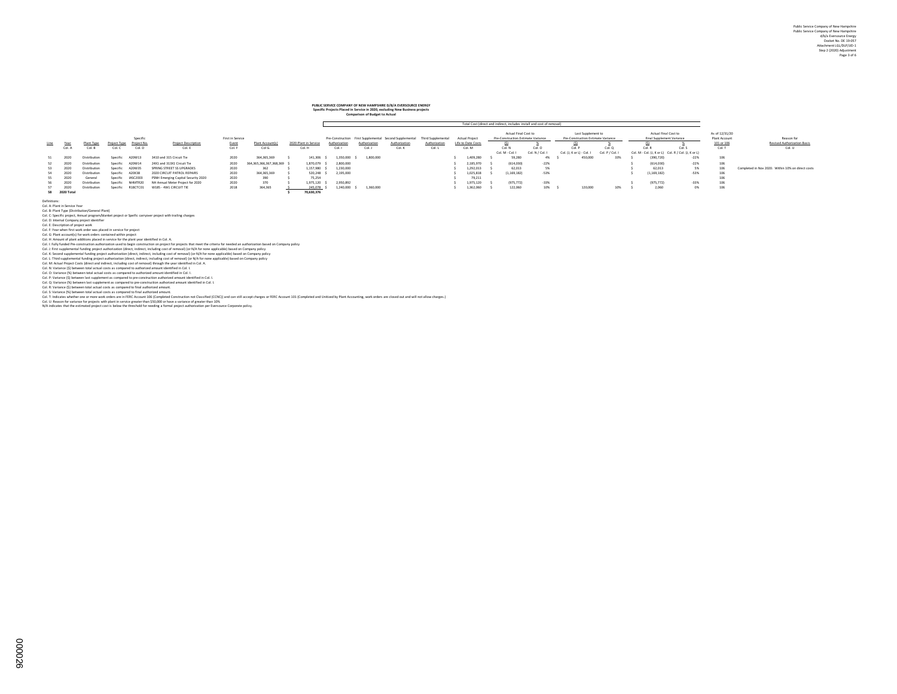### **PUBLIC SERVICE COMPANY OF NEW HAMPSHIRE D/B/A EVERSOURCE ENERGY Specific Projects Placed in Service in 2020, excluding New Business projects**

| Comparison of Budget to Actual |  |
|--------------------------------|--|
|                                |  |
|                                |  |

|      | Total Cost (direct and indirect, includes install and cost of removal) |              |              |                        |                                     |                           |                         |  |                       |               |              |               |                                                                                             |                                             |                                                            |                 |                                                          |                 |                                                     |        |                                               |                                                   |
|------|------------------------------------------------------------------------|--------------|--------------|------------------------|-------------------------------------|---------------------------|-------------------------|--|-----------------------|---------------|--------------|---------------|---------------------------------------------------------------------------------------------|---------------------------------------------|------------------------------------------------------------|-----------------|----------------------------------------------------------|-----------------|-----------------------------------------------------|--------|-----------------------------------------------|---------------------------------------------------|
| Line | Year                                                                   | Plant Type   | Project Type | Specific<br>Project No | <b>Project Description</b>          | First in Service<br>Event | Plant Account(s         |  | 2020 Plant in Service | Authorization | Authorizatio | Authorization | Pre-Construction First Supplemental Second Supplemental Third Supplemental<br>Authorization | <b>Actual Project</b><br>Life to Date Costs | Actual Final Cost to<br>Pre-Construction Estimate Variance |                 | Last Supplement to<br>Pre-Construction Estimate Variance |                 | Actual Final Cost to<br>Final Supplement Variance   |        | As of 12/31/20<br>Plant Account<br>101 or 106 | Reason for<br>Revised Authorization Basis         |
|      | Col. A                                                                 | Col. B       | Col. C       | Col. D                 | Col. E                              | Col. F                    | Col G.                  |  | Col. H                | Col. I        | Col. J       | Col. K        | Col. L                                                                                      | Col. M                                      | Col. N                                                     | Col. O          | Col. P                                                   | Col. Q          | Col. R                                              | Col. S | Col. T                                        | Col. U                                            |
|      |                                                                        |              |              |                        |                                     |                           |                         |  |                       |               |              |               |                                                                                             |                                             | Col. M - Col. I                                            | Col. N / Col. I | Col. (J. K or L) - Col. I                                | Col. P / Col. I | Col. M - Col. (J. K or L) Col. R / Col. (J. K or L) |        |                                               |                                                   |
| 51   | 2020                                                                   | Distribution | Specific     | A20W13                 | 3410 and 315 Circuit Tie            | 2020                      | 364.365.369             |  | 141,306               | 1.350.000     | 1,800,000    |               |                                                                                             | 1,409,280                                   | 59,280                                                     | 4%              | 450,000                                                  | 33%             | (390.720)                                           | $-22%$ | 106                                           |                                                   |
| 52   | - 2020                                                                 | Distribution | Specific     | A20W14                 | 24X1 and 313X1 Circuit Tie          | 2020                      | 364.365.366.367.368.369 |  | 1.870.079             | 2,800,000     |              |               |                                                                                             | 2,185,970                                   | (614.030)                                                  | $-22%$          |                                                          |                 | (614.030)                                           | $-22%$ | 106                                           |                                                   |
| 53   | 2020                                                                   | Distribution | Specific     | A20W35                 | SPRING STREET SS UPGRADES           | 2020                      | 362                     |  | 1.157.980             | 1,230,000     |              |               |                                                                                             | 1.292.013                                   | 62.013                                                     | 5%              |                                                          |                 | 62.013                                              | 5%     | 106                                           | Completed in Nov 2020. Within 10% on direct costs |
| 54   | 2020                                                                   | Distribution | Specific     | A20X38                 | 2020 CIRCUIT PATROL REPAIRS         | 2020                      | 364.365.369             |  | 520.248               | 2.195.000     |              |               |                                                                                             | 1.025.818                                   | (1.169.182)                                                | $-53%$          |                                                          |                 | (1.169.182)                                         | $-53%$ | 106                                           |                                                   |
| SS.  | 2020                                                                   | General      | Specific     | IASC2003               | PSNH Emerging Capital Security 2020 | 2020                      | 390                     |  | 75.254                |               |              |               |                                                                                             | 79.211                                      |                                                            |                 |                                                          |                 |                                                     |        | 106                                           |                                                   |
|      | 2020                                                                   | Distribution | Specific     | NHMTR20                | NH Annual Meter Project for 2020    | 2020                      | 370                     |  | 1.975.120             | 2.950.892     |              |               |                                                                                             | 1.975.120                                   | (975, 772)                                                 | $-33%$          |                                                          |                 | (975, 772)                                          | $-33%$ | 106                                           |                                                   |
|      | 2020                                                                   | Distribution | Specific     | R18CTC01               | W185 - 4W1 CIRCUIT TIE              | 2018                      | 364,365                 |  | 245,078               | 1.240.000     | 1,360,000    |               |                                                                                             | 1,362,060                                   | 122,060                                                    | 10%             | 120,000                                                  | 10%             | 2,060                                               | 0%     | 106                                           |                                                   |
|      | 58 2020 Total                                                          |              |              |                        |                                     |                           |                         |  | 70,630,376            |               |              |               |                                                                                             |                                             |                                                            |                 |                                                          |                 |                                                     |        |                                               |                                                   |

Definions:<br>Col. A Phart in Service Year<br>Col. A Phart in Service Year<br>Col. Description of poper work.<br>Col. Description of poper work, we also also applies the service of specific careyover project with trailing charges<br>Col.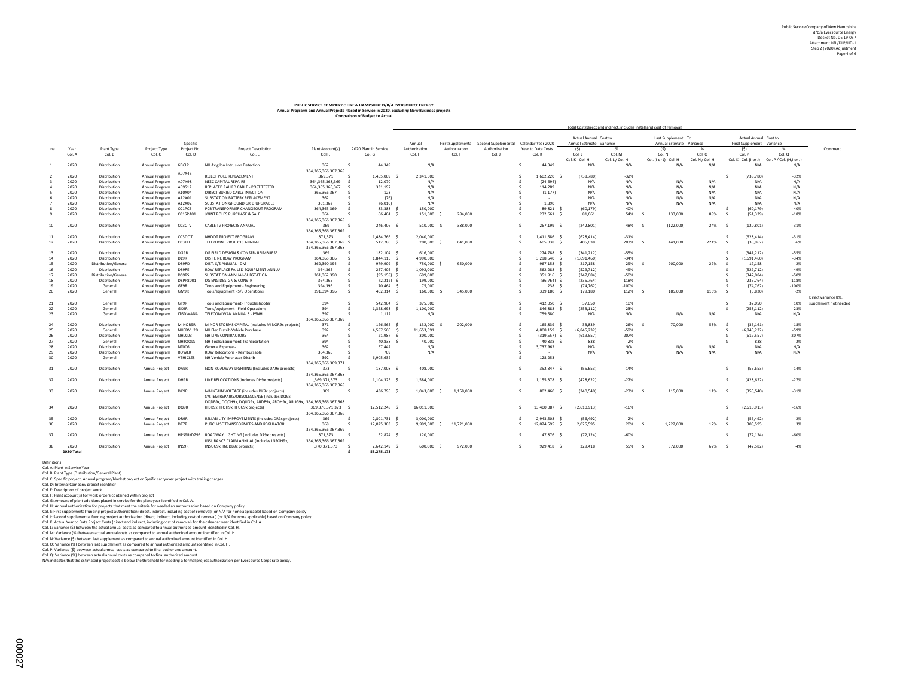# **PUBLIC SERVICE COMPANY OF NEW HAMPSHIRE D/B/A EVERSOURCE ENERGY Annual Programs and Annual Projects Placed in Service in 2020, excluding New Business projects Comparison of Budget to Actual**

 $\mathsf{r}$ 

|      |              |                              |                       |                |                                                                         |                                         |                                    |               |               |                                        |                    |                | l otal Cost (direct and indirect, includes install and cost of removal) |                 |                                                |                 |                                                    |                                                 |                       |
|------|--------------|------------------------------|-----------------------|----------------|-------------------------------------------------------------------------|-----------------------------------------|------------------------------------|---------------|---------------|----------------------------------------|--------------------|----------------|-------------------------------------------------------------------------|-----------------|------------------------------------------------|-----------------|----------------------------------------------------|-------------------------------------------------|-----------------------|
|      |              |                              |                       | Specific       |                                                                         |                                         |                                    | Annual        |               | First Supplemental Second Supplemental | Calendar Year 2020 |                | Actual Annual Cost to<br>Annual Estimate Variance                       |                 | Last Supplement To<br>Annual Estimate Variance |                 | Actual Annual Cost to<br>Final Supplement Variance |                                                 |                       |
| Line | Year         | Plant Type                   | Project Type          | Project No.    | <b>Project Description</b>                                              | Plant Account(s)                        | 2020 Plant in Service              | Authorization | Authorization | Authorization                          | Year to Date Costs |                | (S)                                                                     | - %             | (S)                                            | %               | (S)                                                | - %                                             | Comment               |
|      | Col. A       | Col. B                       | Col. C                | Col. D         | Col. E                                                                  | Col F.                                  | Col. G                             | Col. H        | Col. I        | Col. J                                 | Col. K             |                | Col. L                                                                  | Col. M          | Col. N                                         | Col. O          | Col. P                                             | Col. Q                                          |                       |
|      |              |                              |                       |                |                                                                         |                                         |                                    |               |               |                                        |                    |                | Col. K - Col. H                                                         | Col. L / Col. H | Col. (I or J) - Col. H                         | Col. N / Col. H |                                                    | Col. K - Col. (I or J) Col. P / Col. (H,I or J) |                       |
|      | 2020         | Distribution                 | Annual Program        | 6DCIP          | NH Avigilon Intrusion Detection                                         | 362                                     | 44.349                             | N/A           |               |                                        |                    | 44,349         | N/A                                                                     | N/A             | N/A                                            | N/A             | N/A                                                | N/A                                             |                       |
|      |              |                              |                       |                |                                                                         | 364.365.366.367.368                     |                                    |               |               |                                        |                    |                |                                                                         |                 |                                                |                 |                                                    |                                                 |                       |
|      | 2020         | Distribution                 | Annual Program        | A07X45         | REJECT POLE REPLACEMENT                                                 | ,369,371<br>- \$                        | 1,455,009                          | 2,341,000     |               |                                        |                    | 1,602,220      | (738, 780)                                                              | $-32%$          |                                                |                 | (738, 780)                                         | $-32%$                                          |                       |
|      | 2020         |                              |                       | A07X98         | NESC CAPITAL REPAIRS                                                    | 364, 365, 368, 369                      | 12,070                             | N/A           |               |                                        |                    | (24, 694)      | N/A                                                                     | N/A             | N/A                                            | N/A             | N/A                                                | N/A                                             |                       |
|      |              | Distribution                 | Annual Program        | A09S12         |                                                                         |                                         | $\leq$                             |               |               |                                        |                    |                |                                                                         | N/A             | N/A                                            | N/A             |                                                    | N/A                                             |                       |
|      | 2020<br>2020 | Distribution<br>Distribution | Annual Program        |                | REPLACED FAILED CABLE - POST TESTED                                     | 364, 365, 366, 367<br>365, 366, 367     | 331,197<br>123                     | N/A<br>N/A    |               |                                        |                    | 114,289        | N/A<br>N/A                                                              | N/A             | N/A                                            | N/A             | N/A<br>N/A                                         | N/A                                             |                       |
|      |              |                              | Annual Program        | A10X04         | DIRECT BURIED CABLE INJECTION                                           |                                         | $\leq$                             | N/A           |               |                                        |                    | (1, 177)       | N/A                                                                     | N/A             | N/A                                            | N/A             |                                                    |                                                 |                       |
|      | 2020         | Distribution                 | Annual Program        | A12X01         | SUBSTATION BATTERY REPLACEMENT                                          | 362                                     | (76)<br>$\leq$                     |               |               |                                        |                    |                | N/A                                                                     |                 |                                                |                 | N/A                                                | N/A                                             |                       |
|      | 2020         | Distribution                 | Annual Program        | A12X02         | SUBSTATION GROUND GRID UPGRADES                                         | 361,362                                 | (6, 010)                           | N/A           |               |                                        |                    | 1,890          |                                                                         | N/A             | N/A                                            | N/A             | N/A                                                | N/A                                             |                       |
|      | 2020         | Distribution                 | Annual Program        | CO1PCB         | PCB TRANSFORMER CHANGEOUT PROGRAM                                       | 364, 365, 369<br>$\leq$                 | 83,388 \$                          | 150,000       |               |                                        |                    | 89,821         | (60, 179)                                                               | $-40%$          |                                                |                 | (60, 179)<br>÷.                                    | $-40%$                                          |                       |
|      | 2020         | Distribution                 | Annual Program        | C01SPA01       | JOINT POLES PURCHASE & SALE                                             | 364                                     | 66.404 \$                          | 151,000       | 284,000       |                                        |                    | 232,661        | 81,661                                                                  | 54%             | 133,000<br>- \$                                | 88%             | (51, 339)<br>$\sim$                                | $-18%$                                          |                       |
|      |              |                              |                       |                |                                                                         | 364, 365, 366, 367, 368                 |                                    |               |               |                                        |                    |                |                                                                         |                 |                                                |                 |                                                    |                                                 |                       |
| 10   | 2020         | Distribution                 | Annual Program C03CTV |                | CABLE TV PROJECTS ANNUAL                                                | ,369                                    | 246,406 \$                         | 510,000       | 388,000       |                                        |                    | 267,199 \$     | (242, 801)                                                              | $-48%$          | (122,000)                                      | $-24%$          | (120, 801)                                         | $-31%$                                          |                       |
|      |              |                              |                       |                |                                                                         | 364, 365, 366, 367, 369                 |                                    |               |               |                                        |                    |                |                                                                         |                 |                                                |                 |                                                    |                                                 |                       |
| 11   | 2020         | Distribution                 | Annual Program        | C03DO1         | NHDOT PROJECT PROGRAM                                                   | ,371,373<br>- \$                        | 1,484,766 \$                       | 2,040,000     |               |                                        |                    | 1,411,586 \$   | (628, 414)                                                              | $-31%$          |                                                |                 | (628, 414)                                         | $-31%$                                          |                       |
| 12   | 2020         | Distribution                 | Annual Program        | CO3TEL         | TELEPHONE PROJECTS ANNUAL                                               | 364.365.366.367.369 \$                  | 512,780 \$                         | 200,000 \$    | 641,000       |                                        |                    | 605.038 \$     | 405.038                                                                 | 203%            | 441.000                                        | 221%            | (35.962)<br>-S                                     | $-6%$                                           |                       |
|      |              |                              |                       |                |                                                                         | 364.365.366.367.368                     |                                    |               |               |                                        |                    |                |                                                                         |                 |                                                |                 |                                                    |                                                 |                       |
| 13   | 2020         | Distribution                 | Annual Program        | DG9R           | DG FIELD DESIGN & CONSTR- REIMBURSE                                     | ,369                                    | 182.104 \$                         | 616,000       |               |                                        |                    | 274,788        | (341.212)                                                               | $-55%$          |                                                |                 | (341.212)                                          | $-55%$                                          |                       |
| 14   | 2020         | Distribution                 | Annual Program        | DL9R           | DIST LINE ROW PROGRAM                                                   | 364, 365, 366                           | $\leq$<br>1.844.115 \$             | 4.990.000     |               |                                        |                    | 3.298.540 \$   | (1.691.460)                                                             | $-34%$          |                                                |                 | (1.691.460)                                        | $-34%$                                          |                       |
| 15   | 2020         | Distribution/General         | Annual Program        | DS9RD          | DIST. S/S ANNUAL - DM                                                   | 362,390,394                             | 979,909 \$<br>÷.                   | 750,000 \$    | 950,000       |                                        |                    | 967,158 \$     | 217,158                                                                 | 29%             | 200,000                                        | 27%             | 17.158                                             | 2%                                              |                       |
| 16   | 2020         | Distribution                 | Annual Program        | <b>DS9RE</b>   | ROW REPLACE FAILED EQUIPMENT-ANNUA                                      | 364,365                                 | 257.405 \$<br>Ś.                   | 1,092,000     |               |                                        |                    | 562,288        | (529, 712)                                                              | $-49%$          |                                                |                 | (529, 712)                                         | $-49%$                                          |                       |
| 17   | 2020         | Distribution/General         | Annual Program        | <b>DS9RS</b>   | SUBSTATION ANNUAL-SUBSTATION                                            | 361,362,390                             | - Ś<br>$(95, 158)$ \$              | 699,000       |               |                                        |                    | 351,916 \$     | (347, 084)                                                              | $-50%$          |                                                |                 | (347.084)                                          | $-50%$                                          |                       |
| 18   | 2020         | Distribution                 | Annual Program        | DSPP8001       | DG ENG DESIGN & CONSTR                                                  | 364,365                                 | $\hat{z}$<br>$(2,212)$ \$          | 199,000       |               |                                        |                    | $(36,764)$ \$  | (235, 764)                                                              | $-118%$         |                                                |                 | (235, 764)                                         | $-118%$                                         |                       |
| 19   | 2020         | General                      | Annual Program        | GE9R           | Tools and Equipment - Engineering                                       | 394,396                                 | $\leq$<br>70,464 \$                | 75,000        |               |                                        |                    | 238            | (74, 762)                                                               | $-100%$         |                                                |                 | (74, 762)                                          | $-100%$                                         |                       |
| 20   | 2020         | General                      | Annual Program        | <b>GM9R</b>    | Tools/equipment - S/S Operations                                        | 391,394,396                             | $\dot{s}$<br>402,314 \$            | 160,000       | 345,000       |                                        |                    | 339,180        | 179,180                                                                 | 112%            | 185,000                                        | 116%            | (5,820)<br>-S                                      | $-2%$                                           |                       |
|      |              |                              |                       |                |                                                                         |                                         |                                    |               |               |                                        |                    |                |                                                                         |                 |                                                |                 |                                                    |                                                 | Direct variance 8%,   |
| 21   | 2020         | General                      | Annual Program        | GT9R           | Tools and Equipment- Troubleshooter                                     | 394<br>$\leq$                           | 542.904 \$                         | 375,000       |               |                                        |                    | 412.050 \$     | 37,050                                                                  | 10%             |                                                |                 | 37.050<br>-S                                       | 10%                                             | supplement not needed |
| 22   | 2020         | General                      | Annual Program        | GX9R           | Tools/equipment - Field Operations                                      | 394                                     | 1,358,693 \$<br>- Ś                | 1,100,000     |               |                                        |                    | 846,888        | (253, 112)                                                              | $-23%$          |                                                |                 | (253, 112)                                         | $-23%$                                          |                       |
| 23   | 2020         | General                      | Annual Program        | IT6DWANA       | TELECOM WAN ANNUALS - PSNH                                              | 397<br>- \$                             | 1,112                              | N/A           |               |                                        |                    | 759,580        | N/A                                                                     | N/A             | N/A                                            | N/A             | N/A                                                | N/A                                             |                       |
|      |              |                              |                       |                |                                                                         | 364, 365, 366, 367, 369                 |                                    |               |               |                                        |                    |                |                                                                         |                 |                                                |                 |                                                    |                                                 |                       |
|      | 2020         |                              |                       | MINOR9R        | MINOR STORMS CAPITAL (includes MINOR9x projects)                        | 371                                     | 126,565 \$<br>$\leq$               | 132,000       | 202,000       |                                        |                    | 165,839 \$     | 33,839                                                                  | 26%             | 70,000                                         | 53%             | (36, 161)<br>- 5                                   | $-18%$                                          |                       |
| 24   |              | Distribution                 | Annual Program        |                |                                                                         |                                         |                                    |               |               |                                        |                    |                |                                                                         |                 |                                                |                 |                                                    |                                                 |                       |
| 25   | 2020<br>2020 | General                      | Annual Program        | NHEDVH20       | NH Elec Distrib Vehicle Purchase                                        | 392                                     | 4,587,560 \$                       | 11,653,391    |               |                                        |                    | 4,808,159 \$   | (6, 845, 232)                                                           | $-59%$          |                                                |                 | (6,845,232)                                        | $-59%$                                          |                       |
| 26   |              | Distribution                 | Annual Program        | NHLC03         | NH LINE CONTRACTORS                                                     | 364<br>394                              | 21.987                             | 300,000       |               |                                        |                    | $(319.557)$ \$ | (619, 557)                                                              | $-207%$         |                                                |                 | (619, 557)<br>838                                  | $-207%$                                         |                       |
| 27   | 2020         | General                      | Annual Program        | <b>NHTOOLS</b> | NH-Tools/Equipment-Transportation                                       |                                         | 40,838                             | 40,000        |               |                                        |                    | 40,838         | 838                                                                     | 2%              |                                                |                 |                                                    | 2%                                              |                       |
| 28   | 2020         | Distribution                 | Annual Program        | <b>NT006</b>   | General Expense -                                                       | 362                                     | 57,442                             | N/A           |               |                                        |                    | 3,737,962      | N/A                                                                     | N/A             | N/A                                            | N/A             | N/A                                                | N/A                                             |                       |
| 29   | 2020         | Distribution                 | Annual Program        | ROWLR          | ROW Relocations - Reimbursable                                          | 364.365                                 | 709                                | N/A           |               |                                        |                    |                | N/A                                                                     | N/A             | N/A                                            | N/A             | N/A                                                | N/A                                             |                       |
| 30   | 2020         | General                      | Annual Program        | VEHICLES       | NH Vehicle Purchases Distrib                                            | 392                                     | 6,905,632<br>- Ś                   |               |               |                                        |                    | 128,253        |                                                                         |                 |                                                |                 |                                                    |                                                 |                       |
|      |              |                              |                       |                |                                                                         | 364, 365, 366, 369, 371                 |                                    |               |               |                                        |                    |                |                                                                         |                 |                                                |                 |                                                    |                                                 |                       |
| 31   | 2020         | Distribution                 | Annual Project        | DA9R           | NON-ROADWAY LIGHTING (Includes DA9x projects)                           | ,373<br>- \$                            | 187,008 \$                         | 408,000       |               |                                        |                    | 352,347 \$     | (55, 653)                                                               | $-14%$          |                                                |                 | (55, 653)<br>÷.                                    | $-14%$                                          |                       |
|      |              |                              |                       |                |                                                                         | 364, 365, 366, 367, 368                 |                                    |               |               |                                        |                    |                |                                                                         |                 |                                                |                 |                                                    |                                                 |                       |
| 32   | 2020         | Distribution                 | Annual Project        | DH9R           | LINE RELOCATIONS (includes DH9x projects)                               | ,369,371,373<br>- \$                    | 1,104,325 \$                       | 1,584,000     |               |                                        |                    | 1,155,378 \$   | (428, 622)                                                              | $-27%$          |                                                |                 | (428, 622)                                         | $-27%$                                          |                       |
|      |              |                              |                       |                |                                                                         | 364, 365, 366, 367, 368                 |                                    |               |               |                                        |                    |                |                                                                         |                 |                                                |                 |                                                    |                                                 |                       |
| 33   | 2020         | Distribution                 | Annual Project        | DK9R           | MAINTAIN VOLTAGE (includes DK9x projects)                               | .369<br>- \$                            | 436,796 \$                         | 1,043,000 \$  | 1,158,000     |                                        |                    | 802,460 \$     | (240, 540)                                                              | $-23%$          | 115,000                                        | 11%             | (355, 540)<br>- s                                  | $-31%$                                          |                       |
|      |              |                              |                       |                | SYSTEM REPAIRS/OBSOLESCENSE (includes DO9x.                             |                                         |                                    |               |               |                                        |                    |                |                                                                         |                 |                                                |                 |                                                    |                                                 |                       |
|      |              |                              |                       |                | DQDB9x, DQOH9x, DQUG9x, ARDB9x, AROH9x, ARUG9x, 364,365,366,367,368     |                                         |                                    |               |               |                                        |                    |                |                                                                         |                 |                                                |                 |                                                    |                                                 |                       |
| 34   | 2020         | Distribution                 | Annual Project        | DQ9R           | IFDB9x, IFOH9x, IFUG9x projects)                                        | ,369,370,371,373 \$                     | 12,512,248 \$                      | 16,011,000    |               |                                        |                    | 13,400,087     | (2,610,913)                                                             | $-16%$          |                                                |                 | (2,610,913)                                        | $-16%$                                          |                       |
|      |              |                              |                       |                |                                                                         | 364, 365, 366, 367, 368                 |                                    |               |               |                                        |                    |                |                                                                         |                 |                                                |                 |                                                    |                                                 |                       |
| 35   | 2020         | <b>Distribution</b>          | Annual Project        | DR9R           | RELIABILITY IMPROVEMENTS (includes DR9x projects)                       | ,369<br>- \$                            | 2.801.731 \$                       | 3.000.000     |               |                                        |                    | 2.943.508      | (56.492)                                                                | $-2%$           |                                                |                 | (56.492)                                           | $-2%$                                           |                       |
| 36   | 2020         | Distribution                 | Annual Project        | DT7P           | PURCHASE TRANSFORMERS AND REGULATOR                                     | 368<br>- \$                             | 12,025,303 \$                      | 9,999,000     | 11,721,000    |                                        |                    | 12,024,595 \$  | 2,025,595                                                               | 20%             | 1,722,000                                      | 17%             | 303,595<br>-Ś                                      | 3%                                              |                       |
|      |              |                              |                       |                |                                                                         | 364.365.366.367.369                     |                                    |               |               |                                        |                    |                |                                                                         |                 |                                                |                 |                                                    |                                                 |                       |
| 37   | 2020         | Distribution                 | Annual Project        |                | HPS9R/D79R ROADWAY LIGHTING (includes D79x projects)                    | ,371,373<br>- \$                        | $52,824$ \$                        | 120,000       |               |                                        |                    | 47,876 \$      | (72, 124)                                                               | $-60%$          |                                                |                 | (72, 124)                                          | $-60%$                                          |                       |
|      |              |                              |                       |                |                                                                         |                                         |                                    |               |               |                                        |                    |                |                                                                         |                 |                                                |                 |                                                    |                                                 |                       |
| 38   | 2020         | <b>Distribution</b>          | Annual Project        | INS9R          | INSURANCE CLAIM ANNUAL (includes INSOH9x)<br>INSUG9x, INSDB9x projects) | 364, 365, 366, 367, 369<br>,370,371,373 | 2.642.149 \$                       | 600,000 \$    | 972,000       |                                        |                    | $929,418$ \$   | 329.418                                                                 | 55%             | 372,000<br>- 4                                 | 62%             | (42.582)<br>- 5                                    | $-4%$                                           |                       |
|      | 2020 Total   |                              |                       |                |                                                                         |                                         | 53.275.173<br>$\ddot{\phantom{1}}$ |               |               |                                        |                    |                |                                                                         |                 |                                                |                 |                                                    |                                                 |                       |
|      |              |                              |                       |                |                                                                         |                                         |                                    |               |               |                                        |                    |                |                                                                         |                 |                                                |                 |                                                    |                                                 |                       |

Definitions: Col. A: Plant in Service Year

Col. & Plant Type (Bistribution/General Plant)<br>Col. C: Specific project, Amual program/Bianket project or Spelfic carryover project with trailing charges<br>Col. E: Internati Company project dentifier<br>Col. E: Plant accounts)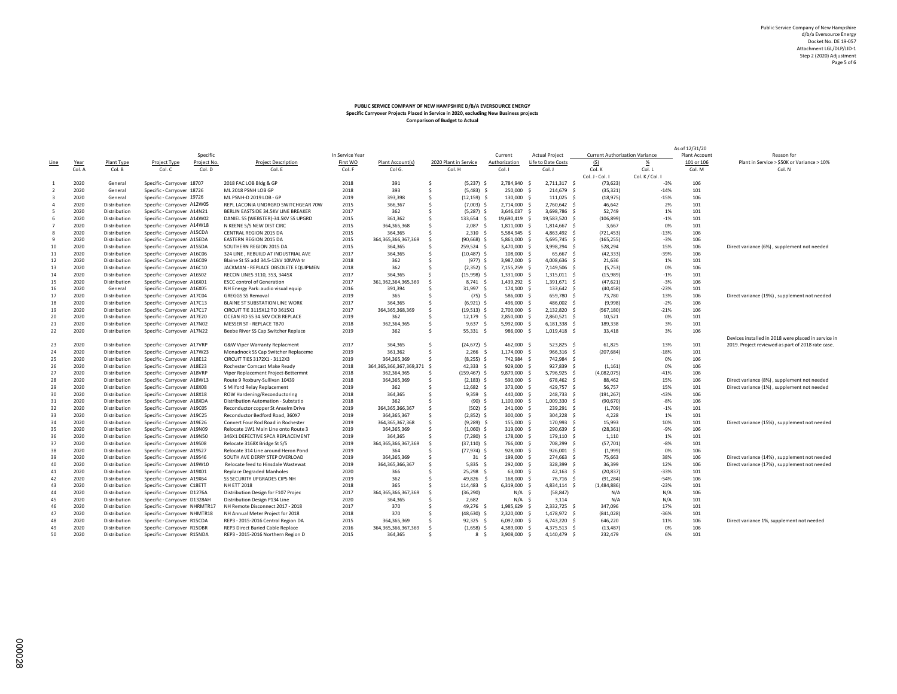#### **PUBLIC SERVICE COMPANY OF NEW HAMPSHIRE D/B/A EVERSOURCE ENERGY Specific Carryover Projects Placed in Service in 2020, excluding New Business projects Comparison of Budget to Actual**

|                         |        |              |                               |             |                                     |                 |                                 |                          |                      |                       |             |                                       |                 | As of 12/31/20 |                                                     |
|-------------------------|--------|--------------|-------------------------------|-------------|-------------------------------------|-----------------|---------------------------------|--------------------------|----------------------|-----------------------|-------------|---------------------------------------|-----------------|----------------|-----------------------------------------------------|
|                         |        |              |                               | Specific    |                                     | In Service Year |                                 |                          | Current              | Actual Project        |             | <b>Current Authorization Variance</b> |                 | Plant Account  | Reason for                                          |
| Line                    | Year   | Plant Type   | Project Type                  | Project No. | <b>Project Description</b>          | First WO        | Plant Account(s)                | 2020 Plant in Service    | Authorization        | Life to Date Costs    |             | (S)                                   | $\frac{96}{2}$  | 101 or 106     | Plant in Service > \$50K or Variance > 10%          |
|                         | Col. A | Col. B       | Col. C                        | Col. D      | Col. E                              | Col. F          | Col G.                          | Col. H                   | Col. I               | Col. J                |             | Col. K                                | Col. L          | Col. M         | Col. N                                              |
|                         |        |              |                               |             |                                     |                 |                                 |                          |                      |                       |             | Col. J - Col. I                       | Col. K / Col. I |                |                                                     |
| -1                      | 2020   | General      | Specific - Carryover 18707    |             | 2018 FAC LOB Bldg & GP              | 2018            | 391                             | $(5,237)$ \$<br>.s       | 2.784.940            | 2,711,317 \$<br>-S    |             | (73, 623)                             | $-3%$           | 106            |                                                     |
| $\overline{2}$          | 2020   | General      | Specific - Carryover 18726    |             | ML 2018 PSNH LOB GP                 | 2018            | 393                             | .s<br>$(5,483)$ \$       | 250,000              | -S                    | 214,679 \$  | (35, 321)                             | $-14%$          | 101            |                                                     |
| $\overline{\mathbf{3}}$ | 2020   | General      | Specific - Carryover 19726    |             | ML PSNH-D 2019 LOB - GP             | 2019            | 393,398                         | \$<br>$(12, 159)$ \$     | 130,000              | 111,025 \$<br>-S      |             | (18, 975)                             | $-15%$          | 106            |                                                     |
| $\overline{4}$          | 2020   | Distribution | Specific - Carryover A12W05   |             | REPL LACONIA UNDRGRD SWITCHGEAR 70W | 2015            | 366,367                         | \$<br>$(7,003)$ \$       | 2,714,000            | -S<br>2,760,642 \$    |             | 46,642                                | 2%              | 101            |                                                     |
| 5                       | 2020   | Distribution | Specific - Carryover A14N21   |             | BERLIN EASTSIDE 34.5KV LINE BREAKER | 2017            | 362                             | \$<br>$(5,287)$ \$       | 3,646,037            | s.<br>3,698,786 \$    |             | 52,749                                | 1%              | 101            |                                                     |
| 6                       | 2020   | Distribution | Specific - Carryover A14W02   |             | DANIEL SS (WEBSTER)-34.5KV SS UPGRD | 2015            | 361,362                         | 133,654 \$<br>.s         | 19,690,419 \$        | 19,583,520 \$         |             | (106, 899)                            | $-1%$           | 101            |                                                     |
| $\overline{7}$          | 2020   | Distribution | Specific - Carryover A14W18   |             | N KEENE S/S NEW DIST CIRC           | 2015            | 364, 365, 368                   | \$<br>2.087              | - S<br>1,811,000     | -S<br>1,814,667 \$    |             | 3,667                                 | 0%              | 101            |                                                     |
| 8                       | 2020   | Distribution | Specific - Carryover A15CDA   |             | CENTRAL REGION 2015 DA              | 2015            | 364,365                         | \$<br>$2,310$ \$         | 5,584,945            | 4,863,492 \$<br>-S    |             | (721, 453)                            | $-13%$          | 106            |                                                     |
| 9                       | 2020   | Distribution | Specific - Carryover A15EDA   |             | EASTERN REGION 2015 DA              | 2015            | 364, 365, 366, 367, 369         | $(90, 668)$ \$<br>- Ś    | 5,861,000            | 5,695,745 \$<br>-S    |             | (165, 255)                            | $-3%$           | 106            |                                                     |
| 10                      | 2020   | Distribution | Specific - Carryover A15SDA   |             | SOUTHERN REGION 2015 DA             | 2015            | 364,365                         | .s<br>259,524 \$         | 3,470,000            | 3,998,294 \$<br>-S    |             | 528,294                               | 15%             | 106            | Direct variance (6%), supplement not needed         |
| 11                      | 2020   | Distribution | Specific - Carryover A16C06   |             | 324 LINE, REBUILD AT INDUSTRIAL AVE | 2017            | 364,365                         | s.<br>$(10, 487)$ \$     | 108,000              | -S                    | 65,667 \$   | (42, 333)                             | $-39%$          | 106            |                                                     |
| 12                      | 2020   | Distribution | Specific - Carryover A16C09   |             | Blaine St SS add 34.5-12kV 10MVA tr | 2018            | 362                             | \$<br>$(977)$ \$         | 3,987,000            | 4,008,636 \$<br>-S    |             | 21,636                                | 1%              | 101            |                                                     |
| 13                      | 2020   | Distribution | Specific - Carryover A16C10   |             | JACKMAN - REPLACE OBSOLETE EQUIPMEN | 2018            | 362                             | Ś<br>$(2,352)$ \$        | 7,155,259 \$         | 7,149,506 \$          |             | (5,753)                               | 0%              | 106            |                                                     |
| 14                      | 2020   | Distribution | Specific - Carryover A16S02   |             | RECON LINES 3110, 353, 3445X        | 2017            | 364,365                         | $(15,998)$ \$<br>Š.      | 1,331,000            | -S<br>1,315,011 \$    |             | (15,989)                              | $-1%$           | 101            |                                                     |
| 15                      | 2020   | Distribution | Specific - Carryover A16X01   |             | <b>ESCC control of Generation</b>   | 2017            | 361, 362, 364, 365, 369         | 8,741 \$<br>.s           | 1,439,292 \$         | 1,391,671 \$          |             | (47, 621)                             | $-3%$           | 106            |                                                     |
| 16                      | 2020   | General      | Specific - Carryover A16X05   |             | NH Energy Park: audio visual equip  | 2016            | 391,394                         | \$<br>31,997             | 174.100 \$<br>- S    |                       | 133.642 \$  | (40, 458)                             | $-23%$          | 101            |                                                     |
| 17                      | 2020   | Distribution | Specific - Carryover A17C04   |             | <b>GREGGS SS Removal</b>            | 2019            | 365                             | .s<br>$(75)$ \$          | 586,000 \$           |                       | 659,780 \$  | 73,780                                | 13%             | 106            | Direct variance (19%), supplement not needed        |
| 18                      | 2020   | Distribution | Specific - Carryover A17C13   |             | BLAINE ST SUBSTATION LINE WORK      | 2017            | 364,365                         | \$<br>$(6,921)$ \$       | 496,000 \$           |                       | 486,002 \$  | (9,998)                               | $-2%$           | 106            |                                                     |
| 19                      | 2020   | Distribution | Specific - Carryover A17C17   |             | CIRCUIT TIE 3115X12 TO 3615X1       | 2017            | 364, 365, 368, 369              | \$<br>$(19,513)$ \$      | 2,700,000            | 2,132,820 \$<br>-S    |             | (567, 180)                            | $-21%$          | 106            |                                                     |
| 20                      | 2020   | Distribution | Specific - Carryover A17E20   |             | OCEAN RD SS 34.5KV OCB REPLACE      | 2019            | 362                             | \$<br>12,179 \$          | 2,850,000            | 2,860,521 \$<br>-S    |             | 10,521                                | 0%              | 101            |                                                     |
| 21                      | 2020   | Distribution | Specific - Carryover A17N02   |             | MESSER ST - REPLACE TB70            | 2018            | 362, 364, 365                   | \$<br>$9,637$ \$         | 5,992,000 \$         | $6,181,338$ \$        |             | 189,338                               | 3%              | 101            |                                                     |
| 22                      | 2020   | Distribution | Specific - Carryover A17N22   |             | Beebe River SS Cap Switcher Replace | 2019            | 362                             | Ś<br>55,331 \$           | 986,000 \$           | 1,019,418 \$          |             | 33,418                                | 3%              | 106            |                                                     |
|                         |        |              |                               |             |                                     |                 |                                 |                          |                      |                       |             |                                       |                 |                | Devices installed in 2018 were placed in service in |
| 23                      | 2020   | Distribution | Specific - Carryover A17VRP   |             | G&W Viper Warranty Replacment       | 2017            | 364,365                         | \$<br>$(24, 672)$ \$     | 462,000 \$           |                       | 523,825 \$  | 61,825                                | 13%             | 101            | 2019. Project reviewed as part of 2018 rate case.   |
| 24                      | 2020   | Distribution | Specific - Carryover A17W23   |             | Monadnock SS Cap Switcher Replaceme | 2019            | 361,362                         | \$<br>$2,266$ \$         | 1,174,000            | -S                    | 966,316 \$  | (207, 684)                            | $-18%$          | 101            |                                                     |
| 25                      | 2020   | Distribution | Specific - Carryover A18E12   |             | CIRCUIT TIES 3172X1 - 3112X3        | 2019            | 364, 365, 369                   | <b>S</b><br>$(8,255)$ \$ | 742,984              | -S                    | 742,984 \$  |                                       | 0%              | 106            |                                                     |
| 26                      | 2020   | Distribution | Specific - Carryover A18E23   |             | Rochester Comcast Make Ready        | 2018            | 364, 365, 366, 367, 369, 371 \$ | 42,333 \$                | 929,000 \$           |                       | 927,839 \$  | (1, 161)                              | 0%              | 106            |                                                     |
| 27                      | 2020   | Distribution | Specific - Carryover A18VRP   |             | Viper Replacement Project-Bettermnt | 2018            | 362, 364, 365                   | .s<br>$(159, 467)$ \$    | 9,879,000            | 5,796,925 \$<br>- \$  |             | (4,082,075)                           | $-41%$          | 106            |                                                     |
| 28                      | 2020   | Distribution | Specific - Carryover A18W13   |             | Route 9 Roxbury-Sullivan 10439      | 2018            | 364, 365, 369                   | .s<br>$(2, 183)$ \$      | 590,000 \$           |                       | 678,462 \$  | 88,462                                | 15%             | 106            | Direct variance (8%), supplement not needed         |
| 29                      | 2020   | Distribution | Specific - Carryover A18X08   |             | S Milford Relay Replacement         | 2019            | 362                             | \$<br>12,682 \$          | 373,000 \$           |                       | 429,757 \$  | 56,757                                | 15%             | 101            | Direct variance (1%), supplement not needed         |
| 30                      | 2020   | Distribution | Specific - Carryover A18X18   |             | ROW Hardening/Reconductoring        | 2018            | 364,365                         | \$<br>$9,359$ \$         | 440,000 \$           |                       | 248.733 \$  | (191, 267)                            | $-43%$          | 106            |                                                     |
| 31                      | 2020   | Distribution | Specific - Carryover A18XDA   |             | Distribution Automation - Substatio | 2018            | 362                             | .s<br>$(90)$ \$          | 1,100,000 \$         | 1,009,330 \$          |             | (90, 670)                             | $-8%$           | 106            |                                                     |
| 32                      | 2020   | Distribution | Specific - Carryover A19C05   |             | Reconductor copper St Anselm Drive  | 2019            | 364, 365, 366, 367              | \$<br>$(502)$ \$         | 241,000 \$           |                       | 239,291 \$  | (1,709)                               | $-1%$           | 101            |                                                     |
| 33                      | 2020   | Distribution | Specific - Carryover A19C25   |             | Reconductor Bedford Road, 360X7     | 2019            | 364, 365, 367                   | \$<br>$(2,852)$ \$       | 300,000 \$           |                       | 304,228 \$  | 4,228                                 | 1%              | 101            |                                                     |
| 34                      | 2020   | Distribution | Specific - Carryover A19E26   |             | Convert Four Rod Road in Rochester  | 2019            | 364, 365, 367, 368              | s.<br>$(9, 289)$ \$      | 155,000 \$           |                       | 170.993 \$  | 15,993                                | 10%             | 101            | Direct variance (15%), supplement not needed        |
| 35                      | 2020   | Distribution | Specific - Carryover A19N09   |             | Relocate 1W1 Main Line onto Route 3 | 2019            | 364, 365, 369                   | \$<br>$(1,060)$ \$       | 319,000 \$           |                       | 290,639 \$  | (28, 361)                             | $-9%$           | 106            |                                                     |
| 36                      | 2020   | Distribution | Specific - Carryover A19N50   |             | 346X1 DEFECTIVE SPCA REPLACEMENT    | 2019            | 364,365                         | <b>S</b><br>$(7,280)$ \$ | 178,000 \$           |                       | 179,110 \$  | 1,110                                 | 1%              | 101            |                                                     |
| 37                      | 2020   | Distribution | Specific - Carryover A19S08   |             | Relocate 3168X Bridge St S/S        | 2019            | 364.365.366.367.369             | .s<br>$(37, 110)$ \$     | 766,000 \$           |                       | 708.299 \$  | (57, 701)                             | $-8%$           | 101            |                                                     |
| 38                      | 2020   | Distribution | Specific - Carryover A19S27   |             | Relocate 314 Line around Heron Pond | 2019            | 364                             | $(77, 974)$ \$<br>.s     | 928,000 \$           |                       | 926,001 \$  | (1,999)                               | 0%              | 106            |                                                     |
| 39                      | 2020   | Distribution | Specific - Carryover A19S46   |             | SOUTH AVE DERRY STEP OVERLOAD       | 2019            | 364, 365, 369                   | \$<br>31 <sup>5</sup>    | 199,000 \$           |                       | 274,663 \$  | 75,663                                | 38%             | 106            | Direct variance (14%), supplement not needed        |
| 40                      | 2020   | Distribution | Specific - Carryover A19W10   |             | Relocate feed to Hinsdale Wastewat  | 2019            | 364, 365, 366, 367              | s.<br>$5,835$ \$         | 292,000 \$           |                       | 328,399 \$  | 36,399                                | 12%             | 106            | Direct variance (17%), supplement not needed        |
| 41                      | 2020   | Distribution | Specific - Carryover A19X01   |             | <b>Replace Degraded Manholes</b>    | 2020            | 366                             | \$<br>25,298 \$          | 63,000 \$            |                       | $42,163$ \$ | (20, 837)                             | $-33%$          | 101            |                                                     |
| 42                      | 2020   | Distribution | Specific - Carryover A19X64   |             | SS SECURITY UPGRADES CIPS NH        | 2019            | 362                             | .s<br>49,826 \$          | 168,000 \$           |                       | 76,716 \$   | (91, 284)                             | $-54%$          | 106            |                                                     |
| 43                      | 2020   | Distribution | Specific - Carryover C18ETT   |             | <b>NH ETT 2018</b>                  | 2018            | 365                             | .s<br>114,483 \$         | 6,319,000 \$         | 4,834,114 \$          |             | (1,484,886)                           | $-23%$          | 101            |                                                     |
| 44                      | 2020   | Distribution | Specific - Carryover D1276A   |             | Distribution Design for F107 Projec | 2017            | 364, 365, 366, 367, 369         | s.<br>(36, 290)          |                      | $N/A$ \$<br>(58, 847) |             | N/A                                   | N/A             | 106            |                                                     |
| 45                      | 2020   | Distribution | Specific - Carryover D1328AH  |             | Distribution Design P134 Line       | 2020            | 364,365                         | \$<br>2,682              |                      | $N/A$ \$<br>3,114     |             | N/A                                   | N/A             | 101            |                                                     |
| 46                      | 2020   | Distribution | Specific - Carryover NHRMTR17 |             | NH Remote Disconnect 2017 - 2018    | 2017            | 370                             | \$<br>49,276 \$          | 1,985,629 \$         | 2,332,725 \$          |             | 347,096                               | 17%             | 101            |                                                     |
| 47                      | 2020   | Distribution | Specific - Carryover NHMTR18  |             | NH Annual Meter Project for 2018    | 2018            | 370                             | .s<br>$(48, 630)$ \$     | 2,320,000 \$         | 1,478,972 \$          |             | (841, 028)                            | $-36%$          | 101            |                                                     |
| 48                      | 2020   | Distribution | Specific - Carryover R15CDA   |             | REP3 - 2015-2016 Central Region DA  | 2015            | 364, 365, 369                   | <b>S</b><br>92,325 \$    | 6,097,000            | 6,743,220 \$<br>-S    |             | 646,220                               | 11%             | 106            | Direct variance 1%, supplement not needed           |
| 49                      | 2020   | Distribution | Specific - Carryover R15DBR   |             | REP3 Direct Buried Cable Replace    | 2016            | 364, 365, 366, 367, 369         | $(1,658)$ \$<br><b>S</b> | 4,389,000            | 4,375,513 \$<br>-S    |             | (13, 487)                             | 0%              | 106            |                                                     |
| 50                      | 2020   | Distribution | Specific - Carryover R15NDA   |             | REP3 - 2015-2016 Northern Region D  | 2015            | 364,365                         | ¢                        | 3,908,000 \$<br>8 \$ | 4,140,479 \$          |             | 232.479                               | 6%              | 101            |                                                     |
|                         |        |              |                               |             |                                     |                 |                                 |                          |                      |                       |             |                                       |                 |                |                                                     |